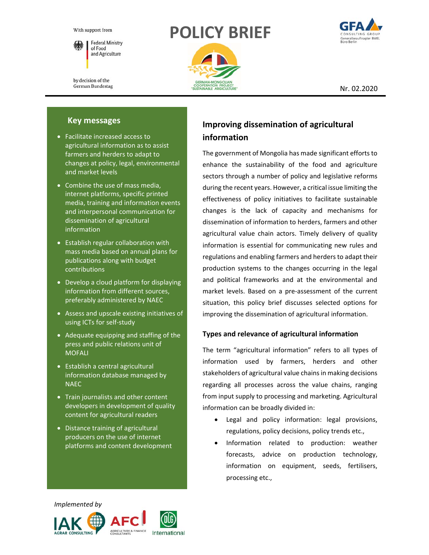With support from



by decision of the German Bundestag

# **POLICY BRIEF**





Nr. 02.2020

## **Key messages**

- Facilitate increased access to agricultural information as to assist farmers and herders to adapt to changes at policy, legal, environmental and market levels
- Combine the use of mass media, internet platforms, specific printed media, training and information events and interpersonal communication for dissemination of agricultural information
- Establish regular collaboration with mass media based on annual plans for publications along with budget contributions
- Develop a cloud platform for displaying information from different sources, preferably administered by NAEC
- Assess and upscale existing initiatives of using ICTs for self‐study
- Adequate equipping and staffing of the press and public relations unit of **MOFALI**
- Establish a central agricultural information database managed by NAEC
- Train journalists and other content developers in development of quality content for agricultural readers
- Distance training of agricultural producers on the use of internet platforms and content development

## **Improving dissemination of agricultural information**

The government of Mongolia has made significant efforts to enhance the sustainability of the food and agriculture sectors through a number of policy and legislative reforms during the recent years. However, a critical issue limiting the effectiveness of policy initiatives to facilitate sustainable changes is the lack of capacity and mechanisms for dissemination of information to herders, farmers and other agricultural value chain actors. Timely delivery of quality information is essential for communicating new rules and regulations and enabling farmers and herders to adapt their production systems to the changes occurring in the legal and political frameworks and at the environmental and market levels. Based on a pre-assessment of the current situation, this policy brief discusses selected options for improving the dissemination of agricultural information.

## **Types and relevance of agricultural information**

The term "agricultural information" refers to all types of information used by farmers, herders and other stakeholders of agricultural value chains in making decisions regarding all processes across the value chains, ranging from input supply to processing and marketing. Agricultural information can be broadly divided in:

- Legal and policy information: legal provisions, regulations, policy decisions, policy trends etc.,
- Information related to production: weather forecasts, advice on production technology, information on equipment, seeds, fertilisers, processing etc.,

 *Implemented by* 

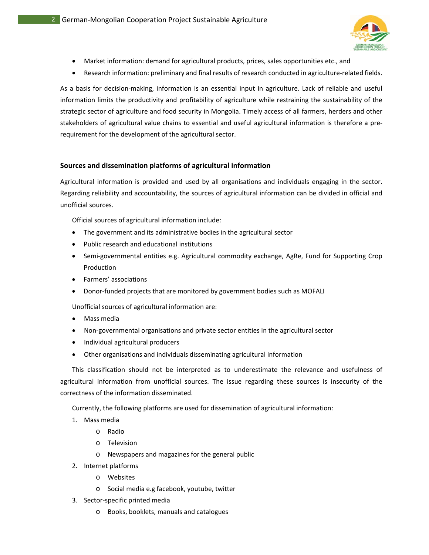

- Market information: demand for agricultural products, prices, sales opportunities etc., and
- Research information: preliminary and final results of research conducted in agriculture-related fields.

As a basis for decision-making, information is an essential input in agriculture. Lack of reliable and useful information limits the productivity and profitability of agriculture while restraining the sustainability of the strategic sector of agriculture and food security in Mongolia. Timely access of all farmers, herders and other stakeholders of agricultural value chains to essential and useful agricultural information is therefore a pre‐ requirement for the development of the agricultural sector.

#### **Sources and dissemination platforms of agricultural information**

Agricultural information is provided and used by all organisations and individuals engaging in the sector. Regarding reliability and accountability, the sources of agricultural information can be divided in official and unofficial sources.

Official sources of agricultural information include:

- The government and its administrative bodies in the agricultural sector
- Public research and educational institutions
- Semi-governmental entities e.g. Agricultural commodity exchange, AgRe, Fund for Supporting Crop Production
- Farmers' associations
- Donor‐funded projects that are monitored by government bodies such as MOFALI

Unofficial sources of agricultural information are:

- Mass media
- Non‐governmental organisations and private sector entities in the agricultural sector
- Individual agricultural producers
- Other organisations and individuals disseminating agricultural information

This classification should not be interpreted as to underestimate the relevance and usefulness of agricultural information from unofficial sources. The issue regarding these sources is insecurity of the correctness of the information disseminated.

Currently, the following platforms are used for dissemination of agricultural information:

- 1. Mass media
	- o Radio
	- o Television
	- o Newspapers and magazines for the general public
- 2. Internet platforms
	- o Websites
	- o Social media e.g facebook, youtube, twitter
- 3. Sector‐specific printed media
	- o Books, booklets, manuals and catalogues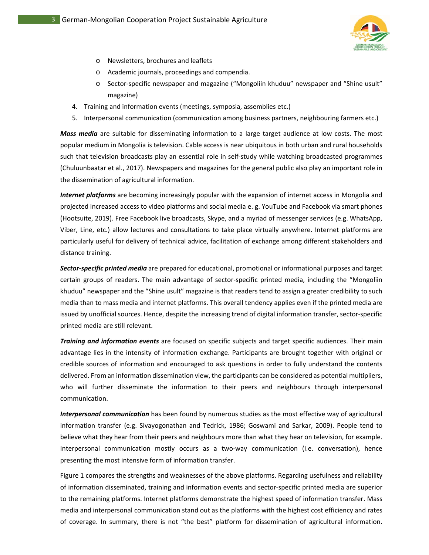

- o Newsletters, brochures and leaflets
- o Academic journals, proceedings and compendia.
- o Sector‐specific newspaper and magazine ("Mongoliin khuduu" newspaper and "Shine usult" magazine)
- 4. Training and information events (meetings, symposia, assemblies etc.)
- 5. Interpersonal communication (communication among business partners, neighbouring farmers etc.)

*Mass media* are suitable for disseminating information to a large target audience at low costs. The most popular medium in Mongolia is television. Cable access is near ubiquitous in both urban and rural households such that television broadcasts play an essential role in self‐study while watching broadcasted programmes (Chuluunbaatar et al., 2017). Newspapers and magazines for the general public also play an important role in the dissemination of agricultural information.

*Internet platforms* are becoming increasingly popular with the expansion of internet access in Mongolia and projected increased access to video platforms and social media e. g. YouTube and Facebook via smart phones (Hootsuite, 2019). Free Facebook live broadcasts, Skype, and a myriad of messenger services (e.g. WhatsApp, Viber, Line, etc.) allow lectures and consultations to take place virtually anywhere. Internet platforms are particularly useful for delivery of technical advice, facilitation of exchange among different stakeholders and distance training.

*Sector‐specific printed media* are prepared for educational, promotional or informational purposes and target certain groups of readers. The main advantage of sector‐specific printed media, including the "Mongoliin khuduu" newspaper and the "Shine usult" magazine is that readers tend to assign a greater credibility to such media than to mass media and internet platforms. This overall tendency applies even if the printed media are issued by unofficial sources. Hence, despite the increasing trend of digital information transfer, sector‐specific printed media are still relevant.

*Training and information events* are focused on specific subjects and target specific audiences. Their main advantage lies in the intensity of information exchange. Participants are brought together with original or credible sources of information and encouraged to ask questions in order to fully understand the contents delivered. From an information dissemination view, the participants can be considered as potential multipliers, who will further disseminate the information to their peers and neighbours through interpersonal communication.

*Interpersonal communication* has been found by numerous studies as the most effective way of agricultural information transfer (e.g. Sivayogonathan and Tedrick, 1986; Goswami and Sarkar, 2009). People tend to believe what they hear from their peers and neighbours more than what they hear on television, for example. Interpersonal communication mostly occurs as a two-way communication (i.e. conversation), hence presenting the most intensive form of information transfer.

Figure 1 compares the strengths and weaknesses of the above platforms. Regarding usefulness and reliability of information disseminated, training and information events and sector‐specific printed media are superior to the remaining platforms. Internet platforms demonstrate the highest speed of information transfer. Mass media and interpersonal communication stand out as the platforms with the highest cost efficiency and rates of coverage. In summary, there is not "the best" platform for dissemination of agricultural information.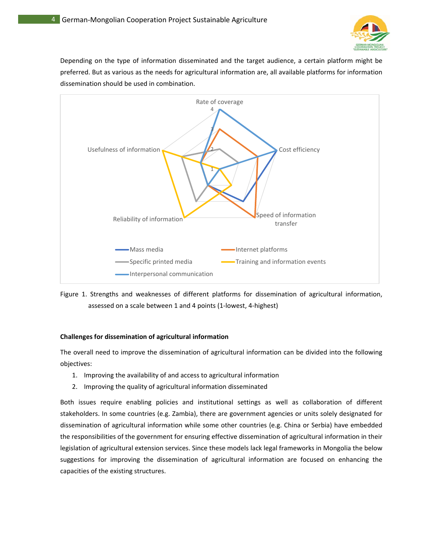

Depending on the type of information disseminated and the target audience, a certain platform might be preferred. But as various as the needs for agricultural information are, all available platforms for information dissemination should be used in combination.



Figure 1. Strengths and weaknesses of different platforms for dissemination of agricultural information, assessed on a scale between 1 and 4 points (1‐lowest, 4‐highest)

### **Challenges for dissemination of agricultural information**

The overall need to improve the dissemination of agricultural information can be divided into the following objectives:

- 1. Improving the availability of and access to agricultural information
- 2. Improving the quality of agricultural information disseminated

Both issues require enabling policies and institutional settings as well as collaboration of different stakeholders. In some countries (e.g. Zambia), there are government agencies or units solely designated for dissemination of agricultural information while some other countries (e.g. China or Serbia) have embedded the responsibilities of the government for ensuring effective dissemination of agricultural information in their legislation of agricultural extension services. Since these models lack legal frameworks in Mongolia the below suggestions for improving the dissemination of agricultural information are focused on enhancing the capacities of the existing structures.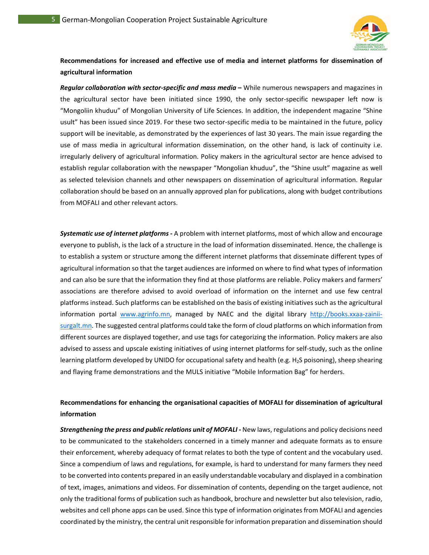

## **Recommendations for increased and effective use of media and internet platforms for dissemination of agricultural information**

*Regular collaboration with sector‐specific and mass media* **–** While numerous newspapers and magazines in the agricultural sector have been initiated since 1990, the only sector-specific newspaper left now is "Mongoliin khuduu" of Mongolian University of Life Sciences. In addition, the independent magazine "Shine usult" has been issued since 2019. For these two sector‐specific media to be maintained in the future, policy support will be inevitable, as demonstrated by the experiences of last 30 years. The main issue regarding the use of mass media in agricultural information dissemination, on the other hand, is lack of continuity i.e. irregularly delivery of agricultural information. Policy makers in the agricultural sector are hence advised to establish regular collaboration with the newspaper "Mongolian khuduu", the "Shine usult" magazine as well as selected television channels and other newspapers on dissemination of agricultural information. Regular collaboration should be based on an annually approved plan for publications, along with budget contributions from MOFALI and other relevant actors.

*Systematic use of internet platforms* **‐** A problem with internet platforms, most of which allow and encourage everyone to publish, is the lack of a structure in the load of information disseminated. Hence, the challenge is to establish a system or structure among the different internet platforms that disseminate different types of agricultural information so that the target audiences are informed on where to find what types of information and can also be sure that the information they find at those platforms are reliable. Policy makers and farmers' associations are therefore advised to avoid overload of information on the internet and use few central platforms instead. Such platforms can be established on the basis of existing initiatives such as the agricultural information portal www.agrinfo.mn, managed by NAEC and the digital library http://books.xxaa-zainiisurgalt.mn. The suggested central platforms could take the form of cloud platforms on which information from different sources are displayed together, and use tags for categorizing the information. Policy makers are also advised to assess and upscale existing initiatives of using internet platforms for self‐study, such as the online learning platform developed by UNIDO for occupational safety and health (e.g. H2S poisoning), sheep shearing and flaying frame demonstrations and the MULS initiative "Mobile Information Bag" for herders.

## **Recommendations for enhancing the organisational capacities of MOFALI for dissemination of agricultural information**

*Strengthening the press and public relations unit of MOFALI - New laws, regulations and policy decisions need* to be communicated to the stakeholders concerned in a timely manner and adequate formats as to ensure their enforcement, whereby adequacy of format relates to both the type of content and the vocabulary used. Since a compendium of laws and regulations, for example, is hard to understand for many farmers they need to be converted into contents prepared in an easily understandable vocabulary and displayed in a combination of text, images, animations and videos. For dissemination of contents, depending on the target audience, not only the traditional forms of publication such as handbook, brochure and newsletter but also television, radio, websites and cell phone apps can be used. Since this type of information originates from MOFALI and agencies coordinated by the ministry, the central unit responsible for information preparation and dissemination should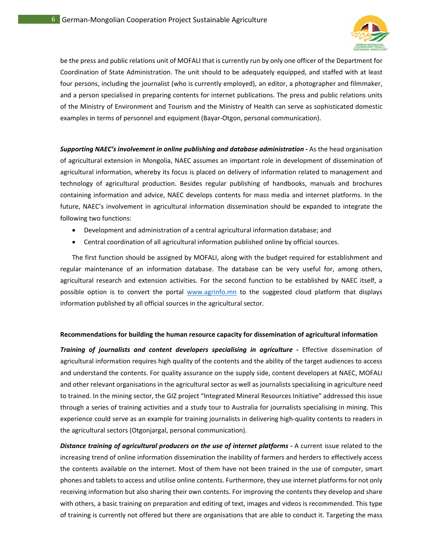

be the press and public relations unit of MOFALI that is currently run by only one officer of the Department for Coordination of State Administration. The unit should to be adequately equipped, and staffed with at least four persons, including the journalist (who is currently employed), an editor, a photographer and filmmaker, and a person specialised in preparing contents for internet publications. The press and public relations units of the Ministry of Environment and Tourism and the Ministry of Health can serve as sophisticated domestic examples in terms of personnel and equipment (Bayar‐Otgon, personal communication).

Supporting NAEC's involvement in online publishing and database administration - As the head organisation of agricultural extension in Mongolia, NAEC assumes an important role in development of dissemination of agricultural information, whereby its focus is placed on delivery of information related to management and technology of agricultural production. Besides regular publishing of handbooks, manuals and brochures containing information and advice, NAEC develops contents for mass media and internet platforms. In the future, NAEC's involvement in agricultural information dissemination should be expanded to integrate the following two functions:

- Development and administration of a central agricultural information database; and
- Central coordination of all agricultural information published online by official sources.

The first function should be assigned by MOFALI, along with the budget required for establishment and regular maintenance of an information database. The database can be very useful for, among others, agricultural research and extension activities. For the second function to be established by NAEC itself, a possible option is to convert the portal www.agrinfo.mn to the suggested cloud platform that displays information published by all official sources in the agricultural sector.

#### **Recommendations for building the human resource capacity for dissemination of agricultural information**

*Training of journalists and content developers specialising in agriculture* **‐**  Effective dissemination of agricultural information requires high quality of the contents and the ability of the target audiences to access and understand the contents. For quality assurance on the supply side, content developers at NAEC, MOFALI and other relevant organisations in the agricultural sector as well as journalists specialising in agriculture need to trained. In the mining sector, the GIZ project "Integrated Mineral Resources Initiative" addressed this issue through a series of training activities and a study tour to Australia for journalists specialising in mining. This experience could serve as an example for training journalists in delivering high‐quality contents to readers in the agricultural sectors (Otgonjargal, personal communication).

**Distance training of agricultural producers on the use of internet platforms - A current issue related to the** increasing trend of online information dissemination the inability of farmers and herders to effectively access the contents available on the internet. Most of them have not been trained in the use of computer, smart phones and tablets to access and utilise online contents. Furthermore, they use internet platforms for not only receiving information but also sharing their own contents. For improving the contents they develop and share with others, a basic training on preparation and editing of text, images and videos is recommended. This type of training is currently not offered but there are organisations that are able to conduct it. Targeting the mass